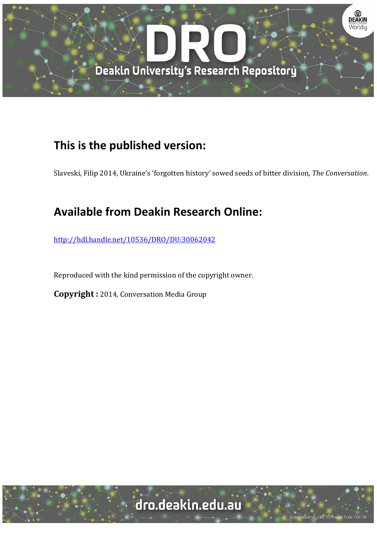

## **This is the published version:**

Slaveski, Filip 2014, Ukraine's 'forgotten history' sowed seeds of bitter division*, The Conversation*. 

## **Available from Deakin Research Online:**

http://hdl.handle.net/10536/DRO/DU:30062042

Reproduced with the kind permission of the copyright owner.

**Copyright** : 2014, Conversation Media Group

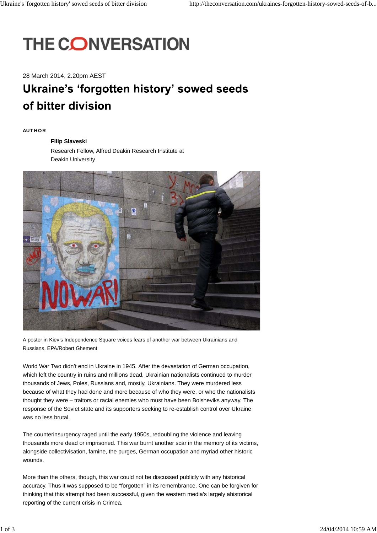# **THE CONVERSATION**

28 March 2014, 2.20pm AEST

# **Ukraine's 'forgotten history' sowed seeds** of bitter division

#### **AUT HO R**

#### **Filip Slaveski**

Research Fellow, Alfred Deakin Research Institute at Deakin University



A poster in Kiev's Independence Square voices fears of another war between Ukrainians and Russians. EPA/Robert Ghement

World War Two didn't end in Ukraine in 1945. After the devastation of German occupation, which left the country in ruins and millions dead, Ukrainian nationalists continued to murder thousands of Jews, Poles, Russians and, mostly, Ukrainians. They were murdered less because of what they had done and more because of who they were, or who the nationalists thought they were – traitors or racial enemies who must have been Bolsheviks anyway. The response of the Soviet state and its supporters seeking to re-establish control over Ukraine was no less brutal.

The counterinsurgency raged until the early 1950s, redoubling the violence and leaving thousands more dead or imprisoned. This war burnt another scar in the memory of its victims, alongside collectivisation, famine, the purges, German occupation and myriad other historic wounds.

More than the others, though, this war could not be discussed publicly with any historical accuracy. Thus it was supposed to be "forgotten" in its remembrance. One can be forgiven for thinking that this attempt had been successful, given the western media's largely ahistorical reporting of the current crisis in Crimea.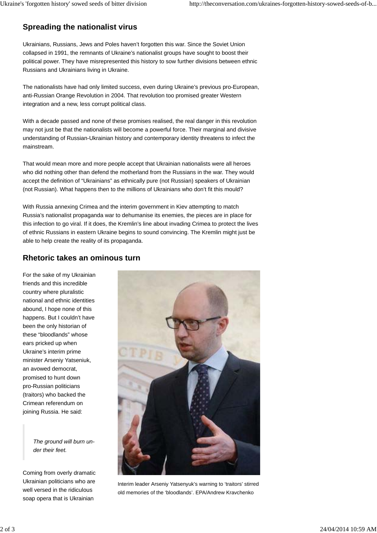## **Spreading the nationalist virus**

Ukrainians, Russians, Jews and Poles haven't forgotten this war. Since the Soviet Union collapsed in 1991, the remnants of Ukraine's nationalist groups have sought to boost their political power. They have misrepresented this history to sow further divisions between ethnic Russians and Ukrainians living in Ukraine.

The nationalists have had only limited success, even during Ukraine's previous pro-European, anti-Russian Orange Revolution in 2004. That revolution too promised greater Western integration and a new, less corrupt political class.

With a decade passed and none of these promises realised, the real danger in this revolution may not just be that the nationalists will become a powerful force. Their marginal and divisive understanding of Russian-Ukrainian history and contemporary identity threatens to infect the mainstream.

That would mean more and more people accept that Ukrainian nationalists were all heroes who did nothing other than defend the motherland from the Russians in the war. They would accept the definition of "Ukrainians" as ethnically pure (not Russian) speakers of Ukrainian (not Russian). What happens then to the millions of Ukrainians who don't fit this mould?

With Russia annexing Crimea and the interim government in Kiev attempting to match Russia's nationalist propaganda war to dehumanise its enemies, the pieces are in place for this infection to go viral. If it does, the Kremlin's line about invading Crimea to protect the lives of ethnic Russians in eastern Ukraine begins to sound convincing. The Kremlin might just be able to help create the reality of its propaganda.

### **Rhetoric takes an ominous turn**

For the sake of my Ukrainian friends and this incredible country where pluralistic national and ethnic identities abound, I hope none of this happens. But I couldn't have been the only historian of these "bloodlands" whose ears pricked up when Ukraine's interim prime minister Arseniy Yatseniuk, an avowed democrat, promised to hunt down pro-Russian politicians (traitors) who backed the Crimean referendum on joining Russia. He said:

> *The ground will burn under their feet.*

Coming from overly dramatic Ukrainian politicians who are well versed in the ridiculous soap opera that is Ukrainian



Interim leader Arseniy Yatsenyuk's warning to 'traitors' stirred old memories of the 'bloodlands'. EPA/Andrew Kravchenko